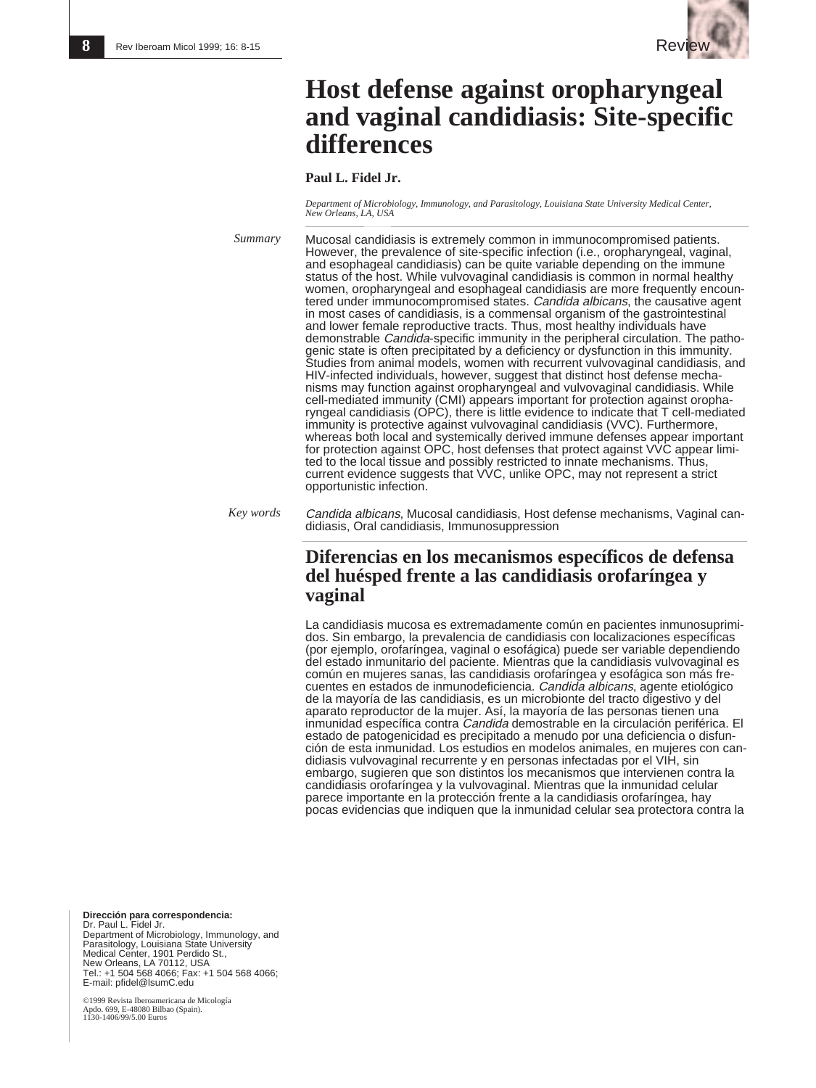

# **Host defense against oropharyngeal and vaginal candidiasis: Site-specific differences**

### **Paul L. Fidel Jr.**

*Department of Microbiology, Immunology, and Parasitology, Louisiana State University Medical Center, New Orleans, LA, USA*

Mucosal candidiasis is extremely common in immunocompromised patients. However, the prevalence of site-specific infection (i.e., oropharyngeal, vaginal, and esophageal candidiasis) can be quite variable depending on the immune status of the host. While vulvovaginal candidiasis is common in normal healthy women, oropharyngeal and esophageal candidiasis are more frequently encountered under immunocompromised states. Candida albicans, the causative agent in most cases of candidiasis, is a commensal organism of the gastrointestinal and lower female reproductive tracts. Thus, most healthy individuals have demonstrable Candida-specific immunity in the peripheral circulation. The pathogenic state is often precipitated by a deficiency or dysfunction in this immunity. Studies from animal models, women with recurrent vulvovaginal candidiasis, and HIV-infected individuals, however, suggest that distinct host defense mechanisms may function against oropharyngeal and vulvovaginal candidiasis. While cell-mediated immunity (CMI) appears important for protection against oropharyngeal candidiasis (OPC), there is little evidence to indicate that T cell-mediated immunity is protective against vulvovaginal candidiasis (VVC). Furthermore, whereas both local and systemically derived immune defenses appear important for protection against OPC, host defenses that protect against VVC appear limited to the local tissue and possibly restricted to innate mechanisms. Thus, current evidence suggests that VVC, unlike OPC, may not represent a strict opportunistic infection. *Summary*

Candida albicans, Mucosal candidiasis, Host defense mechanisms, Vaginal candidiasis, Oral candidiasis, Immunosuppression *Key words*

## **Diferencias en los mecanismos específicos de defensa del huésped frente a las candidiasis orofaríngea y vaginal**

La candidiasis mucosa es extremadamente común en pacientes inmunosuprimidos. Sin embargo, la prevalencia de candidiasis con localizaciones específicas (por ejemplo, orofaríngea, vaginal o esofágica) puede ser variable dependiendo del estado inmunitario del paciente. Mientras que la candidiasis vulvovaginal es común en mujeres sanas, las candidiasis orofaríngea y esofágica son más frecuentes en estados de inmunodeficiencia. Candida albicans, agente etiológico de la mayoría de las candidiasis, es un microbionte del tracto digestivo y del aparato reproductor de la mujer. Así, la mayoría de las personas tienen una inmunidad específica contra Candida demostrable en la circulación periférica. El estado de patogenicidad es precipitado a menudo por una deficiencia o disfunción de esta inmunidad. Los estudios en modelos animales, en mujeres con candidiasis vulvovaginal recurrente y en personas infectadas por el VIH, sin embargo, sugieren que son distintos los mecanismos que intervienen contra la candidiasis orofaríngea y la vulvovaginal. Mientras que la inmunidad celular parece importante en la protección frente a la candidiasis orofaríngea, hay pocas evidencias que indiquen que la inmunidad celular sea protectora contra la

**Dirección para correspondencia:** Dr. Paul L. Fidel Jr. Department of Microbiology, Immunology, and Parasitology, Louisiana State University Medical Center, 1901 Perdido St., New Orleans, LA 70112, USA Tel.: +1 504 568 4066; Fax: +1 504 568 4066; E-mail: pfidel@lsumC.edu

©1999 Revista Iberoamericana de Micología Apdo. 699, E-48080 Bilbao (Spain). 1130-1406/99/5.00 Euros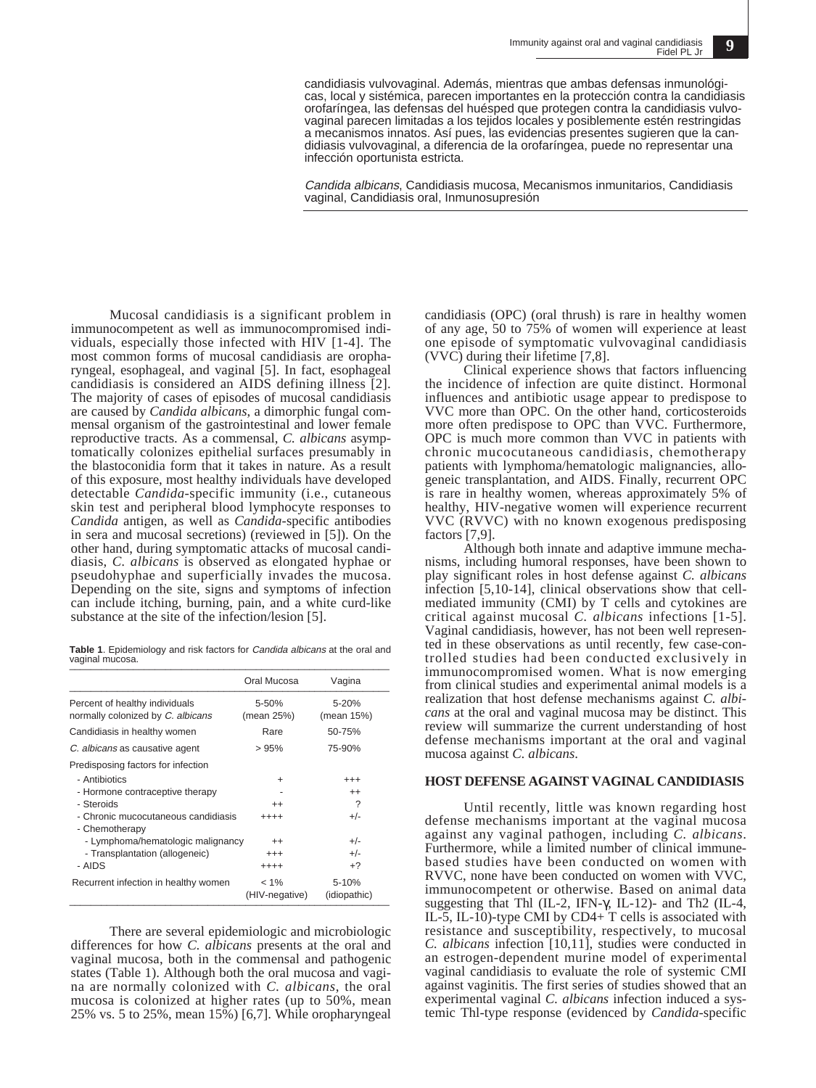candidiasis vulvovaginal. Además, mientras que ambas defensas inmunológicas, local y sistémica, parecen importantes en la protección contra la candidiasis orofaríngea, las defensas del huésped que protegen contra la candidiasis vulvovaginal parecen limitadas a los tejidos locales y posiblemente estén restringidas a mecanismos innatos. Así pues, las evidencias presentes sugieren que la candidiasis vulvovaginal, a diferencia de la orofaríngea, puede no representar una infección oportunista estricta.

Candida albicans, Candidiasis mucosa, Mecanismos inmunitarios, Candidiasis vaginal, Candidiasis oral, Inmunosupresión

Mucosal candidiasis is a significant problem in immunocompetent as well as immunocompromised individuals, especially those infected with HIV [1-4]. The most common forms of mucosal candidiasis are oropharyngeal, esophageal, and vaginal [5]. In fact, esophageal candidiasis is considered an AIDS defining illness [2]. The majority of cases of episodes of mucosal candidiasis are caused by *Candida albicans*, a dimorphic fungal commensal organism of the gastrointestinal and lower female reproductive tracts. As a commensal, *C. albicans* asymptomatically colonizes epithelial surfaces presumably in the blastoconidia form that it takes in nature. As a result of this exposure, most healthy individuals have developed detectable *Candida*-specific immunity (i.e., cutaneous skin test and peripheral blood lymphocyte responses to *Candida* antigen, as well as *Candida*-specific antibodies in sera and mucosal secretions) (reviewed in [5]). On the other hand, during symptomatic attacks of mucosal candidiasis, *C. albicans* is observed as elongated hyphae or pseudohyphae and superficially invades the mucosa. Depending on the site, signs and symptoms of infection can include itching, burning, pain, and a white curd-like substance at the site of the infection/lesion [5].

**Table 1**. Epidemiology and risk factors for Candida albicans at the oral and vaginal mucosa. \_\_\_\_\_\_\_\_\_\_\_\_\_\_\_\_\_\_\_\_\_\_\_\_\_\_\_\_\_\_\_\_\_\_\_\_\_\_\_\_\_\_\_\_\_\_\_\_\_\_\_\_\_\_\_\_\_\_\_\_

|                                                                     | Oral Mucosa               | Vagina                |
|---------------------------------------------------------------------|---------------------------|-----------------------|
| Percent of healthy individuals<br>normally colonized by C. albicans | 5-50%<br>(mean 25%)       | 5-20%<br>(mean 15%)   |
| Candidiasis in healthy women                                        | Rare                      | 50-75%                |
| C. albicans as causative agent                                      | >95%                      | 75-90%                |
| Predisposing factors for infection                                  |                           |                       |
| - Antibiotics                                                       | +                         | $^{+++}$              |
| - Hormone contraceptive therapy                                     |                           | $^{++}$               |
| - Steroids                                                          | $^{++}$                   | ?                     |
| - Chronic mucocutaneous candidiasis<br>- Chemotherapy               | ++++                      | $+/-$                 |
| - Lymphoma/hematologic malignancy                                   | $^{++}$                   | $+/-$                 |
| - Transplantation (allogeneic)                                      | $^{+++}$                  | $+/-$                 |
| - AIDS                                                              | $^{+++}$                  | $+2$                  |
| Recurrent infection in healthy women                                | $< 1\%$<br>(HIV-negative) | 5-10%<br>(idiopathic) |

There are several epidemiologic and microbiologic differences for how *C. albicans* presents at the oral and vaginal mucosa, both in the commensal and pathogenic states (Table 1). Although both the oral mucosa and vagina are normally colonized with *C. albicans*, the oral mucosa is colonized at higher rates (up to 50%, mean 25% vs. 5 to 25%, mean  $15\%$ ) [6,7]. While oropharyngeal

candidiasis (OPC) (oral thrush) is rare in healthy women of any age, 50 to 75% of women will experience at least one episode of symptomatic vulvovaginal candidiasis (VVC) during their lifetime [7,8].

Clinical experience shows that factors influencing the incidence of infection are quite distinct. Hormonal influences and antibiotic usage appear to predispose to VVC more than OPC. On the other hand, corticosteroids more often predispose to OPC than VVC. Furthermore, OPC is much more common than VVC in patients with chronic mucocutaneous candidiasis, chemotherapy patients with lymphoma/hematologic malignancies, allogeneic transplantation, and AIDS. Finally, recurrent OPC is rare in healthy women, whereas approximately 5% of healthy, HIV-negative women will experience recurrent VVC (RVVC) with no known exogenous predisposing factors [7,9].

Although both innate and adaptive immune mechanisms, including humoral responses, have been shown to play significant roles in host defense against *C. albicans* infection [5,10-14], clinical observations show that cellmediated immunity (CMI) by T cells and cytokines are critical against mucosal *C. albicans* infections [1-5]. Vaginal candidiasis, however, has not been well represented in these observations as until recently, few case-controlled studies had been conducted exclusively in immunocompromised women. What is now emerging from clinical studies and experimental animal models is a realization that host defense mechanisms against *C. albicans* at the oral and vaginal mucosa may be distinct. This review will summarize the current understanding of host defense mechanisms important at the oral and vaginal mucosa against *C. albicans*.

#### **HOST DEFENSE AGAINST VAGINAL CANDIDIASIS**

Until recently, little was known regarding host defense mechanisms important at the vaginal mucosa against any vaginal pathogen, including *C. albicans*. Furthermore, while a limited number of clinical immunebased studies have been conducted on women with RVVC, none have been conducted on women with VVC, immunocompetent or otherwise. Based on animal data suggesting that Thl (IL-2, IFN-γ, IL-12)- and Th2 (IL-4, IL-5, IL-10)-type CMI by CD4+ T cells is associated with resistance and susceptibility, respectively, to mucosal *C. albicans* infection [10,11], studies were conducted in an estrogen-dependent murine model of experimental vaginal candidiasis to evaluate the role of systemic CMI against vaginitis. The first series of studies showed that an experimental vaginal *C. albicans* infection induced a systemic Thl-type response (evidenced by *Candida*-specific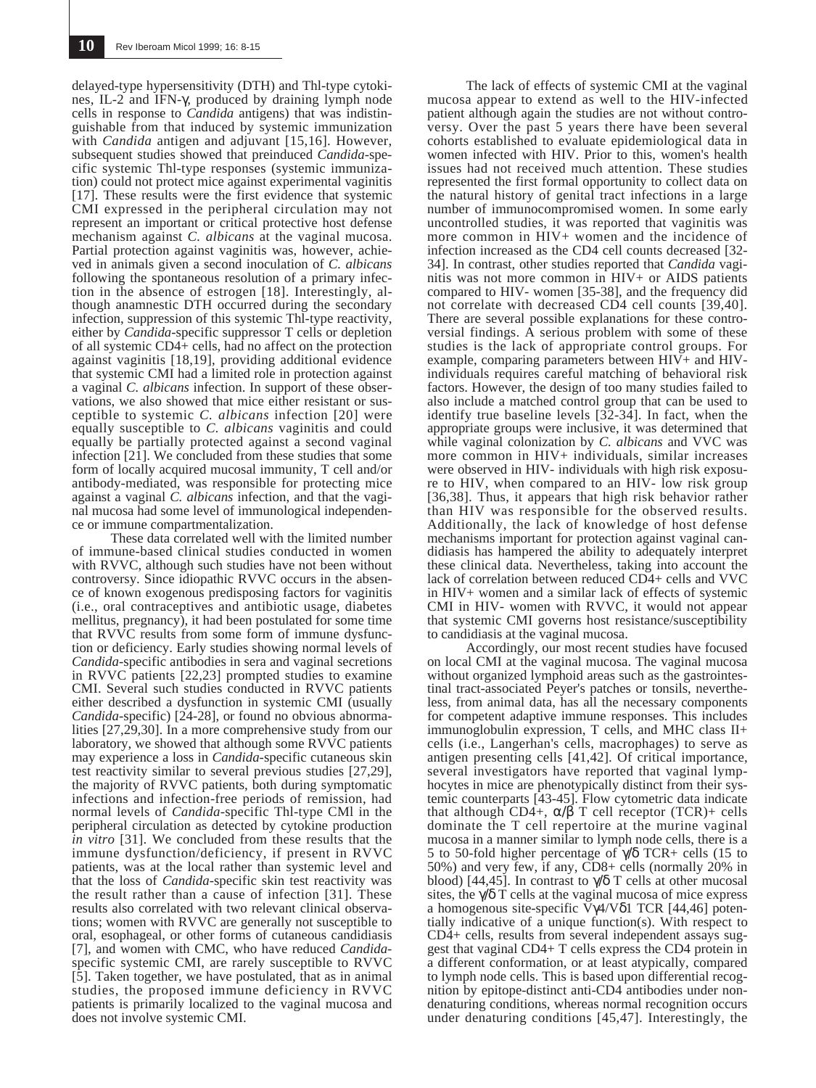delayed-type hypersensitivity (DTH) and Thl-type cytokines, IL-2 and IFN-γ, produced by draining lymph node cells in response to *Candida* antigens) that was indistinguishable from that induced by systemic immunization with *Candida* antigen and adjuvant [15,16]. However, subsequent studies showed that preinduced *Candida*-specific systemic Thl-type responses (systemic immunization) could not protect mice against experimental vaginitis [17]. These results were the first evidence that systemic CMI expressed in the peripheral circulation may not represent an important or critical protective host defense mechanism against *C. albicans* at the vaginal mucosa. Partial protection against vaginitis was, however, achieved in animals given a second inoculation of *C. albicans* following the spontaneous resolution of a primary infection in the absence of estrogen [18]. Interestingly, although anamnestic DTH occurred during the secondary infection, suppression of this systemic Thl-type reactivity, either by *Candida*-specific suppressor T cells or depletion of all systemic CD4+ cells, had no affect on the protection against vaginitis [18,19], providing additional evidence that systemic CMI had a limited role in protection against a vaginal *C. albicans* infection. In support of these observations, we also showed that mice either resistant or susceptible to systemic *C. albicans* infection [20] were equally susceptible to *C. albicans* vaginitis and could equally be partially protected against a second vaginal infection [21]. We concluded from these studies that some form of locally acquired mucosal immunity, T cell and/or antibody-mediated, was responsible for protecting mice against a vaginal *C. albicans* infection, and that the vaginal mucosa had some level of immunological independence or immune compartmentalization.

These data correlated well with the limited number of immune-based clinical studies conducted in women with RVVC, although such studies have not been without controversy. Since idiopathic RVVC occurs in the absence of known exogenous predisposing factors for vaginitis (i.e., oral contraceptives and antibiotic usage, diabetes mellitus, pregnancy), it had been postulated for some time that RVVC results from some form of immune dysfunction or deficiency. Early studies showing normal levels of *Candida*-specific antibodies in sera and vaginal secretions in RVVC patients [22,23] prompted studies to examine CMI. Several such studies conducted in RVVC patients either described a dysfunction in systemic CMI (usually *Candida*-specific) [24-28], or found no obvious abnormalities [27,29,30]. In a more comprehensive study from our laboratory, we showed that although some RVVC patients may experience a loss in *Candida*-specific cutaneous skin test reactivity similar to several previous studies [27,29], the majority of RVVC patients, both during symptomatic infections and infection-free periods of remission, had normal levels of *Candida*-specific Thl-type CMl in the peripheral circulation as detected by cytokine production *in vitro* [31]. We concluded from these results that the immune dysfunction/deficiency, if present in RVVC patients, was at the local rather than systemic level and that the loss of *Candida*-specific skin test reactivity was the result rather than a cause of infection [31]. These results also correlated with two relevant clinical observations; women with RVVC are generally not susceptible to oral, esophageal, or other forms of cutaneous candidiasis [7], and women with CMC, who have reduced *Candida*- specific systemic CMI, are rarely susceptible to RVVC [5]. Taken together, we have postulated, that as in animal studies, the proposed immune deficiency in RVVC patients is primarily localized to the vaginal mucosa and does not involve systemic CMI.

The lack of effects of systemic CMI at the vaginal mucosa appear to extend as well to the HIV-infected patient although again the studies are not without controversy. Over the past 5 years there have been several cohorts established to evaluate epidemiological data in women infected with HIV. Prior to this, women's health issues had not received much attention. These studies represented the first formal opportunity to collect data on the natural history of genital tract infections in a large number of immunocompromised women. In some early uncontrolled studies, it was reported that vaginitis was more common in HIV+ women and the incidence of infection increased as the CD4 cell counts decreased [32- 34]. In contrast, other studies reported that *Candida* vaginitis was not more common in HIV+ or AIDS patients compared to HIV- women [35-38], and the frequency did not correlate with decreased CD4 cell counts [39,40]. There are several possible explanations for these controversial findings. A serious problem with some of these studies is the lack of appropriate control groups. For example, comparing parameters between HIV+ and HIVindividuals requires careful matching of behavioral risk factors. However, the design of too many studies failed to also include a matched control group that can be used to identify true baseline levels [32-34]. In fact, when the appropriate groups were inclusive, it was determined that while vaginal colonization by *C. albicans* and VVC was more common in HIV+ individuals, similar increases were observed in HIV- individuals with high risk exposure to HIV, when compared to an HIV- low risk group [36,38]. Thus, it appears that high risk behavior rather than HIV was responsible for the observed results. Additionally, the lack of knowledge of host defense mechanisms important for protection against vaginal candidiasis has hampered the ability to adequately interpret these clinical data. Nevertheless, taking into account the lack of correlation between reduced CD4+ cells and VVC in HIV+ women and a similar lack of effects of systemic CMI in HIV- women with RVVC, it would not appear that systemic CMI governs host resistance/susceptibility to candidiasis at the vaginal mucosa.

Accordingly, our most recent studies have focused on local CMI at the vaginal mucosa. The vaginal mucosa without organized lymphoid areas such as the gastrointestinal tract-associated Peyer's patches or tonsils, nevertheless, from animal data, has all the necessary components for competent adaptive immune responses. This includes immunoglobulin expression, T cells, and MHC class II+ cells (i.e., Langerhan's cells, macrophages) to serve as antigen presenting cells [41,42]. Of critical importance, several investigators have reported that vaginal lymphocytes in mice are phenotypically distinct from their systemic counterparts [43-45]. Flow cytometric data indicate that although CD4+,  $\alpha/\beta$  T cell receptor (TCR)+ cells dominate the T cell repertoire at the murine vaginal mucosa in a manner similar to lymph node cells, there is a 5 to 50-fold higher percentage of  $\sqrt{0}$  TCR+ cells (15 to 50%) and very few, if any, CD8+ cells (normally 20% in blood) [44,45]. In contrast to  $\sqrt{\delta}$  T cells at other mucosal sites, the  $\sqrt{\delta}$  T cells at the vaginal mucosa of mice express a homogenous site-specific Vγ4/Vδ1 TCR [44,46] potentially indicative of a unique function(s). With respect to CD4+ cells, results from several independent assays suggest that vaginal CD4+ T cells express the CD4 protein in a different conformation, or at least atypically, compared to lymph node cells. This is based upon differential recognition by epitope-distinct anti-CD4 antibodies under nondenaturing conditions, whereas normal recognition occurs under denaturing conditions [45,47]. Interestingly, the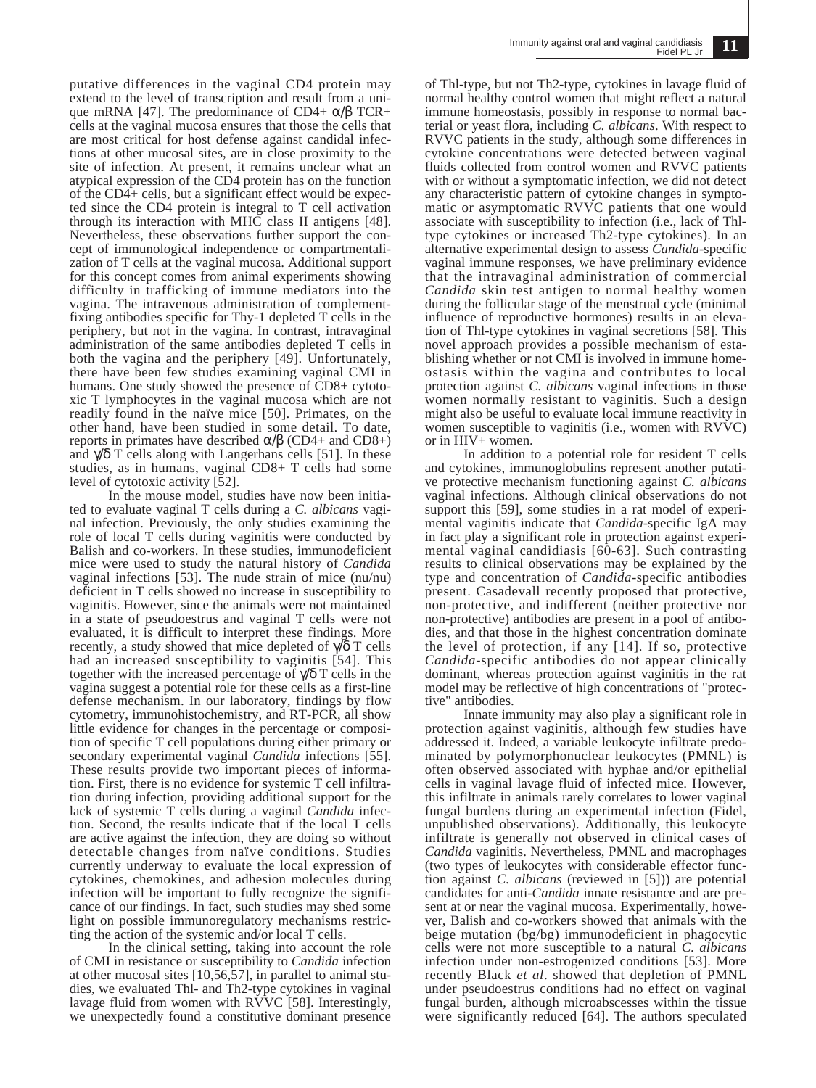putative differences in the vaginal CD4 protein may extend to the level of transcription and result from a unique mRNA [47]. The predominance of CD4+  $\alpha$ /β TCR+ cells at the vaginal mucosa ensures that those the cells that are most critical for host defense against candidal infections at other mucosal sites, are in close proximity to the site of infection. At present, it remains unclear what an atypical expression of the CD4 protein has on the function of the CD4+ cells, but a significant effect would be expected since the CD4 protein is integral to T cell activation through its interaction with MHC class II antigens [48]. Nevertheless, these observations further support the concept of immunological independence or compartmentalization of T cells at the vaginal mucosa. Additional support for this concept comes from animal experiments showing difficulty in trafficking of immune mediators into the vagina. The intravenous administration of complementfixing antibodies specific for Thy-1 depleted T cells in the periphery, but not in the vagina. In contrast, intravaginal administration of the same antibodies depleted T cells in both the vagina and the periphery [49]. Unfortunately, there have been few studies examining vaginal CMI in humans. One study showed the presence of CD8+ cytotoxic T lymphocytes in the vaginal mucosa which are not readily found in the naïve mice [50]. Primates, on the other hand, have been studied in some detail. To date, reports in primates have described α/β (CD4+ and CD8+) and  $\gamma/\delta$  T cells along with Langerhans cells [51]. In these studies, as in humans, vaginal CD8+ T cells had some level of cytotoxic activity [52].

In the mouse model, studies have now been initiated to evaluate vaginal T cells during a *C. albicans* vaginal infection. Previously, the only studies examining the role of local T cells during vaginitis were conducted by Balish and co-workers. In these studies, immunodeficient mice were used to study the natural history of *Candida* vaginal infections [53]. The nude strain of mice (nu/nu) deficient in T cells showed no increase in susceptibility to vaginitis. However, since the animals were not maintained in a state of pseudoestrus and vaginal T cells were not evaluated, it is difficult to interpret these findings. More recently, a study showed that mice depleted of  $\sqrt{\delta}$  T cells had an increased susceptibility to vaginitis [54]. This together with the increased percentage of  $\gamma/\delta$  T cells in the vagina suggest a potential role for these cells as a first-line defense mechanism. In our laboratory, findings by flow cytometry, immunohistochemistry, and RT-PCR, all show little evidence for changes in the percentage or composition of specific T cell populations during either primary or secondary experimental vaginal *Candida* infections [55]. These results provide two important pieces of information. First, there is no evidence for systemic T cell infiltration during infection, providing additional support for the lack of systemic T cells during a vaginal *Candida* infection. Second, the results indicate that if the local T cells are active against the infection, they are doing so without detectable changes from naïve conditions. Studies currently underway to evaluate the local expression of cytokines, chemokines, and adhesion molecules during infection will be important to fully recognize the significance of our findings. In fact, such studies may shed some light on possible immunoregulatory mechanisms restricting the action of the systemic and/or local T cells.

In the clinical setting, taking into account the role of CMI in resistance or susceptibility to *Candida* infection at other mucosal sites [10,56,57], in parallel to animal studies, we evaluated Thl- and Th2-type cytokines in vaginal lavage fluid from women with  $\overline{R}$ VVC [58]. Interestingly, we unexpectedly found a constitutive dominant presence

of Thl-type, but not Th2-type, cytokines in lavage fluid of normal healthy control women that might reflect a natural immune homeostasis, possibly in response to normal bacterial or yeast flora, including *C. albicans*. With respect to RVVC patients in the study, although some differences in cytokine concentrations were detected between vaginal fluids collected from control women and RVVC patients with or without a symptomatic infection, we did not detect any characteristic pattern of cytokine changes in symptomatic or asymptomatic RVVC patients that one would associate with susceptibility to infection (i.e., lack of Thltype cytokines or increased Th2-type cytokines). In an alternative experimental design to assess *Candida*-specific vaginal immune responses, we have preliminary evidence that the intravaginal administration of commercial *Candida* skin test antigen to normal healthy women during the follicular stage of the menstrual cycle (minimal influence of reproductive hormones) results in an elevation of Thl-type cytokines in vaginal secretions [58]. This novel approach provides a possible mechanism of establishing whether or not CMI is involved in immune homeostasis within the vagina and contributes to local protection against *C. albicans* vaginal infections in those women normally resistant to vaginitis. Such a design might also be useful to evaluate local immune reactivity in women susceptible to vaginitis (i.e., women with RVVC) or in HIV+ women.

In addition to a potential role for resident T cells and cytokines, immunoglobulins represent another putative protective mechanism functioning against *C. albicans* vaginal infections. Although clinical observations do not support this [59], some studies in a rat model of experimental vaginitis indicate that *Candida*-specific IgA may in fact play a significant role in protection against experimental vaginal candidiasis [60-63]. Such contrasting results to clinical observations may be explained by the type and concentration of *Candida*-specific antibodies present. Casadevall recently proposed that protective, non-protective, and indifferent (neither protective nor non-protective) antibodies are present in a pool of antibodies, and that those in the highest concentration dominate the level of protection, if any [14]. If so, protective *Candida*-specific antibodies do not appear clinically dominant, whereas protection against vaginitis in the rat model may be reflective of high concentrations of "protective" antibodies.

Innate immunity may also play a significant role in protection against vaginitis, although few studies have addressed it. Indeed, a variable leukocyte infiltrate predominated by polymorphonuclear leukocytes (PMNL) is often observed associated with hyphae and/or epithelial cells in vaginal lavage fluid of infected mice. However, this infiltrate in animals rarely correlates to lower vaginal fungal burdens during an experimental infection (Fidel, unpublished observations). Additionally, this leukocyte infiltrate is generally not observed in clinical cases of *Candida* vaginitis. Nevertheless, PMNL and macrophages (two types of leukocytes with considerable effector function against *C. albicans* (reviewed in [5])) are potential candidates for anti-*Candida* innate resistance and are present at or near the vaginal mucosa. Experimentally, however, Balish and co-workers showed that animals with the beige mutation (bg/bg) immunodeficient in phagocytic cells were not more susceptible to a natural *C. albicans* infection under non-estrogenized conditions [53]. More recently Black *et al*. showed that depletion of PMNL under pseudoestrus conditions had no effect on vaginal fungal burden, although microabscesses within the tissue were significantly reduced [64]. The authors speculated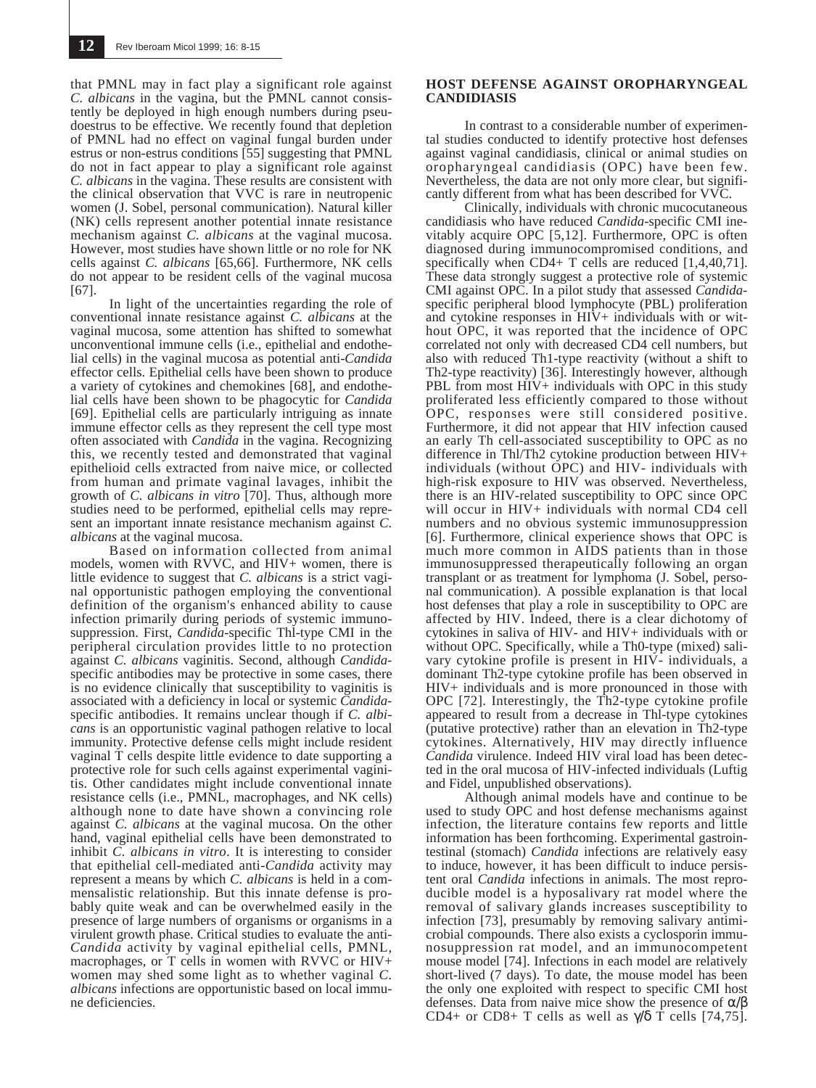that PMNL may in fact play a significant role against *C. albicans* in the vagina, but the PMNL cannot consistently be deployed in high enough numbers during pseudoestrus to be effective. We recently found that depletion of PMNL had no effect on vaginal fungal burden under estrus or non-estrus conditions [55] suggesting that PMNL do not in fact appear to play a significant role against *C. albicans* in the vagina. These results are consistent with the clinical observation that VVC is rare in neutropenic women (J. Sobel, personal communication). Natural killer (NK) cells represent another potential innate resistance mechanism against *C. albicans* at the vaginal mucosa. However, most studies have shown little or no role for NK cells against *C. albicans* [65,66]. Furthermore, NK cells do not appear to be resident cells of the vaginal mucosa [67].

In light of the uncertainties regarding the role of conventional innate resistance against *C. albicans* at the vaginal mucosa, some attention has shifted to somewhat unconventional immune cells (i.e., epithelial and endothelial cells) in the vaginal mucosa as potential anti-*Candida* effector cells. Epithelial cells have been shown to produce a variety of cytokines and chemokines [68], and endothelial cells have been shown to be phagocytic for *Candida* [69]. Epithelial cells are particularly intriguing as innate immune effector cells as they represent the cell type most often associated with *Candida* in the vagina. Recognizing this, we recently tested and demonstrated that vaginal epithelioid cells extracted from naive mice, or collected from human and primate vaginal lavages, inhibit the growth of *C. albicans in vitro* [70]. Thus, although more studies need to be performed, epithelial cells may represent an important innate resistance mechanism against *C. albicans* at the vaginal mucosa.

Based on information collected from animal models, women with RVVC, and HIV+ women, there is little evidence to suggest that *C. albicans* is a strict vaginal opportunistic pathogen employing the conventional definition of the organism's enhanced ability to cause infection primarily during periods of systemic immunosuppression. First, *Candida*-specific Thl-type CMI in the peripheral circulation provides little to no protection against *C. albicans* vaginitis. Second, although *Candida*specific antibodies may be protective in some cases, there is no evidence clinically that susceptibility to vaginitis is associated with a deficiency in local or systemic *Candida*specific antibodies. It remains unclear though if *C. albicans* is an opportunistic vaginal pathogen relative to local immunity. Protective defense cells might include resident vaginal T cells despite little evidence to date supporting a protective role for such cells against experimental vaginitis. Other candidates might include conventional innate resistance cells (i.e., PMNL, macrophages, and NK cells) although none to date have shown a convincing role against *C. albicans* at the vaginal mucosa. On the other hand, vaginal epithelial cells have been demonstrated to inhibit *C. albicans in vitro*. It is interesting to consider that epithelial cell-mediated anti-*Candida* activity may represent a means by which *C. albicans* is held in a commensalistic relationship. But this innate defense is probably quite weak and can be overwhelmed easily in the presence of large numbers of organisms or organisms in a virulent growth phase. Critical studies to evaluate the anti-*Candida* activity by vaginal epithelial cells, PMNL, macrophages, or T cells in women with RVVC or HIV+ women may shed some light as to whether vaginal *C. albicans* infections are opportunistic based on local immune deficiencies.

#### **HOST DEFENSE AGAINST OROPHARYNGEAL CANDIDIASIS**

In contrast to a considerable number of experimental studies conducted to identify protective host defenses against vaginal candidiasis, clinical or animal studies on oropharyngeal candidiasis (OPC) have been few. Nevertheless, the data are not only more clear, but significantly different from what has been described for VVC.

Clinically, individuals with chronic mucocutaneous candidiasis who have reduced *Candida*-specific CMI inevitably acquire OPC [5,12]. Furthermore, OPC is often diagnosed during immunocompromised conditions, and specifically when CD4+ T cells are reduced [1,4,40,71]. These data strongly suggest a protective role of systemic CMI against OPC. In a pilot study that assessed *Candida*specific peripheral blood lymphocyte (PBL) proliferation and cytokine responses in HIV+ individuals with or without OPC, it was reported that the incidence of OPC correlated not only with decreased CD4 cell numbers, but also with reduced Th1-type reactivity (without a shift to Th2-type reactivity) [36]. Interestingly however, although PBL from most HIV+ individuals with OPC in this study proliferated less efficiently compared to those without OPC, responses were still considered positive. Furthermore, it did not appear that HIV infection caused an early Th cell-associated susceptibility to OPC as no difference in Thl/Th2 cytokine production between HIV+ individuals (without OPC) and HIV- individuals with high-risk exposure to HIV was observed. Nevertheless, there is an HIV-related susceptibility to OPC since OPC will occur in HIV+ individuals with normal CD4 cell numbers and no obvious systemic immunosuppression [6]. Furthermore, clinical experience shows that OPC is much more common in AIDS patients than in those immunosuppressed therapeutically following an organ transplant or as treatment for lymphoma (J. Sobel, personal communication). A possible explanation is that local host defenses that play a role in susceptibility to OPC are affected by HIV. Indeed, there is a clear dichotomy of cytokines in saliva of HIV- and HIV+ individuals with or without OPC. Specifically, while a Th0-type (mixed) salivary cytokine profile is present in HIV- individuals, a dominant Th2-type cytokine profile has been observed in HIV+ individuals and is more pronounced in those with OPC [72]. Interestingly, the Th2-type cytokine profile appeared to result from a decrease in Thl-type cytokines (putative protective) rather than an elevation in Th2-type cytokines. Alternatively, HIV may directly influence *Candida* virulence. Indeed HIV viral load has been detected in the oral mucosa of HIV-infected individuals (Luftig and Fidel, unpublished observations).

Although animal models have and continue to be used to study OPC and host defense mechanisms against infection, the literature contains few reports and little information has been forthcoming. Experimental gastrointestinal (stomach) *Candida* infections are relatively easy to induce, however, it has been difficult to induce persistent oral *Candida* infections in animals. The most reproducible model is a hyposalivary rat model where the removal of salivary glands increases susceptibility to infection [73], presumably by removing salivary antimicrobial compounds. There also exists a cyclosporin immunosuppression rat model, and an immunocompetent mouse model [74]. Infections in each model are relatively short-lived (7 days). To date, the mouse model has been the only one exploited with respect to specific CMI host defenses. Data from naive mice show the presence of  $\alpha/\beta$ CD4+ or CD8+ T cells as well as  $\gamma/\delta$  T cells [74,75].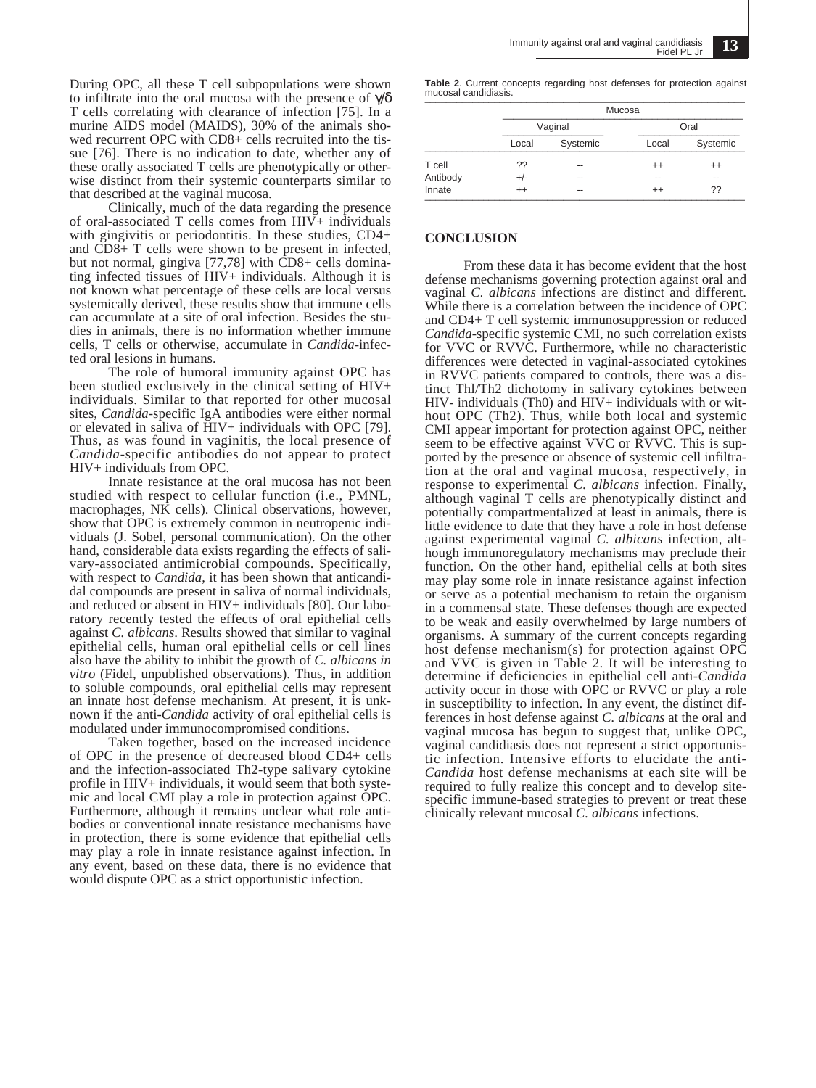During OPC, all these T cell subpopulations were shown to infiltrate into the oral mucosa with the presence of  $\psi\delta$ T cells correlating with clearance of infection [75]. In a murine AIDS model (MAIDS), 30% of the animals showed recurrent OPC with CD8+ cells recruited into the tissue [76]. There is no indication to date, whether any of these orally associated T cells are phenotypically or otherwise distinct from their systemic counterparts similar to that described at the vaginal mucosa.

Clinically, much of the data regarding the presence of oral-associated T cells comes from  $H\overline{V}$ + individuals with gingivitis or periodontitis. In these studies, CD4+ and CD8+ T cells were shown to be present in infected, but not normal, gingiva [77,78] with CD8+ cells dominating infected tissues of HIV+ individuals. Although it is not known what percentage of these cells are local versus systemically derived, these results show that immune cells can accumulate at a site of oral infection. Besides the studies in animals, there is no information whether immune cells, T cells or otherwise, accumulate in *Candida*-infected oral lesions in humans.

The role of humoral immunity against OPC has been studied exclusively in the clinical setting of HIV+ individuals. Similar to that reported for other mucosal sites, *Candida*-specific IgA antibodies were either normal or elevated in saliva of HIV+ individuals with OPC [79]. Thus, as was found in vaginitis, the local presence of *Candida*-specific antibodies do not appear to protect HIV+ individuals from OPC.

Innate resistance at the oral mucosa has not been studied with respect to cellular function (i.e., PMNL, macrophages, NK cells). Clinical observations, however, show that OPC is extremely common in neutropenic individuals (J. Sobel, personal communication). On the other hand, considerable data exists regarding the effects of salivary-associated antimicrobial compounds. Specifically, with respect to *Candida*, it has been shown that anticandidal compounds are present in saliva of normal individuals, and reduced or absent in HIV+ individuals [80]. Our laboratory recently tested the effects of oral epithelial cells against *C. albicans*. Results showed that similar to vaginal epithelial cells, human oral epithelial cells or cell lines also have the ability to inhibit the growth of *C. albicans in vitro* (Fidel, unpublished observations). Thus, in addition to soluble compounds, oral epithelial cells may represent an innate host defense mechanism. At present, it is unknown if the anti-*Candida* activity of oral epithelial cells is modulated under immunocompromised conditions.

Taken together, based on the increased incidence of OPC in the presence of decreased blood CD4+ cells and the infection-associated Th2-type salivary cytokine profile in HIV+ individuals, it would seem that both systemic and local CMI play a role in protection against OPC. Furthermore, although it remains unclear what role antibodies or conventional innate resistance mechanisms have in protection, there is some evidence that epithelial cells may play a role in innate resistance against infection. In any event, based on these data, there is no evidence that would dispute OPC as a strict opportunistic infection.

**Table 2**. Current concepts regarding host defenses for protection against mucosal candidiasis. \_\_\_\_\_\_\_\_\_\_\_\_\_\_\_\_\_\_\_\_\_\_\_\_\_\_\_\_\_\_\_\_\_\_\_\_\_\_\_\_\_\_\_\_\_\_\_\_\_\_\_\_\_\_\_\_\_\_\_\_

|          | Mucosa  |          |         |          |  |
|----------|---------|----------|---------|----------|--|
|          | Vaginal |          | Oral    |          |  |
|          | Local   | Systemic | Local   | Systemic |  |
| T cell   | ??      | --       | $^{++}$ | $^{++}$  |  |
| Antibody | $+/-$   | --       | --      | --       |  |
| Innate   | $^{++}$ | $- -$    | $^{++}$ | ??       |  |

#### **CONCLUSION**

From these data it has become evident that the host defense mechanisms governing protection against oral and vaginal *C. albicans* infections are distinct and different. While there is a correlation between the incidence of OPC and CD4+ T cell systemic immunosuppression or reduced *Candida*-specific systemic CMI, no such correlation exists for VVC or RVVC. Furthermore, while no characteristic differences were detected in vaginal-associated cytokines in RVVC patients compared to controls, there was a distinct Thl/Th2 dichotomy in salivary cytokines between HIV- individuals (Th0) and HIV+ individuals with or without OPC (Th2). Thus, while both local and systemic CMI appear important for protection against OPC, neither seem to be effective against VVC or RVVC. This is supported by the presence or absence of systemic cell infiltration at the oral and vaginal mucosa, respectively, in response to experimental *C. albicans* infection. Finally, although vaginal T cells are phenotypically distinct and potentially compartmentalized at least in animals, there is little evidence to date that they have a role in host defense against experimental vaginal *C. albicans* infection, although immunoregulatory mechanisms may preclude their function. On the other hand, epithelial cells at both sites may play some role in innate resistance against infection or serve as a potential mechanism to retain the organism in a commensal state. These defenses though are expected to be weak and easily overwhelmed by large numbers of organisms. A summary of the current concepts regarding host defense mechanism(s) for protection against OPC and VVC is given in Table 2. It will be interesting to determine if deficiencies in epithelial cell anti-*Candida* activity occur in those with OPC or RVVC or play a role in susceptibility to infection. In any event, the distinct differences in host defense against *C. albicans* at the oral and vaginal mucosa has begun to suggest that, unlike OPC, vaginal candidiasis does not represent a strict opportunistic infection. Intensive efforts to elucidate the anti-*Candida* host defense mechanisms at each site will be required to fully realize this concept and to develop sitespecific immune-based strategies to prevent or treat these clinically relevant mucosal *C. albicans* infections.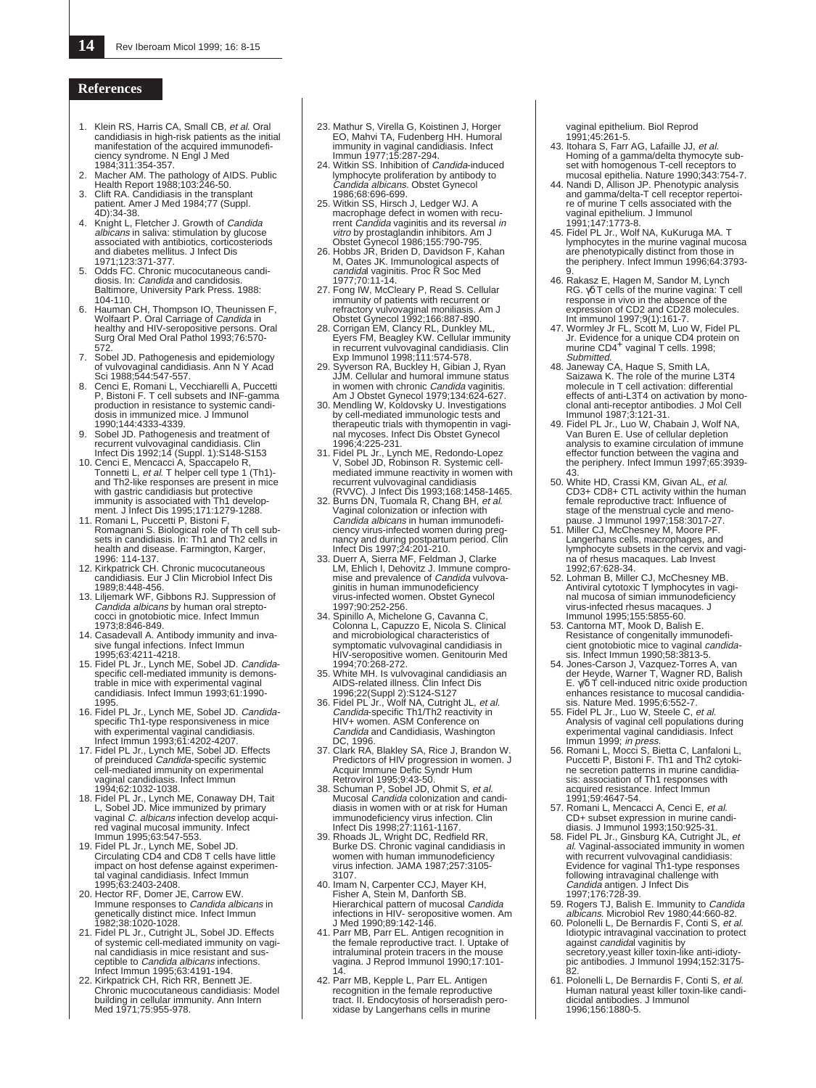#### **References**

- 1. Klein RS, Harris CA, Small CB, et al. Oral candidiasis in high-risk patients as the initial manifestation of the acquired immunodefi-ciency syndrome. N Engl J Med
- 1984;311:354-357. 2. Macher AM. The pathology of AIDS. Public Health Report 1988;103:246-50.
- 3. Clift RA. Candidiasis in the transplant patient. Amer J Med 1984;77 (Suppl.
- 4D):34-38.<br>4. Knight L, Fletcher J. Growth of *Candida<br>albicans* in saliva: stimulation by glucose<br>associated with antibiotics, corticosteriods and diabetes mellitus. J Infect Dis 1971;123:371-377.
- 5. Odds FC. Chronic mucocutaneous candi-<br>diosis. In: *Candida* and candidosis. Baltimore, University Park Press. 1988: 104-110.
- 6. Hauman CH, Thompson IO, Theunissen F, Wolfaart P. Oral Carriage of *Candida* in<br>healthy and HIV-seropositive persons. Oral<br>Surg Oral Med Oral Pathol 1993;76:570-
- 572. 7. Sobel JD. Pathogenesis and epidemiology of vulvovaginal candidiasis. Ann N Y Acad
- Sci 1988;544:547-557. 8. Cenci E, Romani L, Vecchiarelli A, Puccetti P, Bistoni F. T cell subsets and INF-gamma production in resistance to systemic candidosis in immunized mice. J Immunol 1990;144:4333-4339.
- 9. Sobel JD. Pathogenesis and treatment of recurrent vulvovaginal candidiasis. Clin Infect Dis 1992;14 (Suppl. 1):S148-S153
- 10. Cenci E, Mencacci A, Spaccapelo R,<br>Tonnetti L, et al. T helper cell type 1 (Th1)-<br>and Th2-like responses are present in mice with gastric candidiasis but protective immunity is associated with Th1 develop-
- ment. J Infect Dis 1995;171:1279-1288. 11. Romani L, Puccetti P, Bistoni F, Romagnani S. Biological role of Th cell subsets in candidiasis. In: Th1 and Th2 cells in health and disease. Farmington, Karger, 1996: 114-137.
- 12. Kirkpatrick CH. Chronic mucocutaneous candidiasis. Eur J Clin Microbiol Infect Dis 1989;8:448-456.
- 13. Liljemark WF, Gibbons RJ. Suppression of Candida albicans by human oral strepto-cocci in gnotobiotic mice. Infect Immun
- 1973;8:846-849. 14. Casadevall A. Antibody immunity and invasive fungal infections. Infect Immun
- 1995;63:4211-4218. 15. Fidel PL Jr., Lynch ME, Sobel JD. Candida- specific cell-mediated immunity is demonstrable in mice with experimental vaginal candidiasis. Infect Immun 1993;61:1990-
- 
- 
- 1995.<br>
16. Fidel PL Jr., Lynch ME, Sobel JD. *Candida*<br>
Fidel PL Jr., Lynch ME, Sobel JD. *Candida*<br>
specific Th1-type responsiveness in mice<br>
unter timmun 1993,61:4202-4207.<br>
17. Fidel PL Jr., Lynch ME, Sobel JD. Effects<br>
- 19. Fidel PL Jr., Lynch ME, Sobel JD. Circulating CD4 and CD8 T cells have little impact on host defense against experimen-tal vaginal candidiasis. Infect Immun
- 1995;63:2403-2408. 20. Hector RF, Domer JE, Carrow EW. Immune responses to Candida albicans in
- genetically distinct mice. Infect Immun 1982;38:1020-1028. 21. Fidel PL Jr., Cutright JL, Sobel JD. Effects of systemic cell-mediated immunity on vaginal candidiasis in mice resistant and sus-<br>ceptible to *Candida albicans* infections.
- Infect Immun 1995;63:4191-194. 22. Kirkpatrick CH, Rich RR, Bennett JE. Chronic mucocutaneous candidiasis: Model building in cellular immunity. Ann Intern Med 1971;75:955-978.
- 23. Mathur S, Virella G, Koistinen J, Horger EO, Mahvi TA, Fudenberg HH. Humoral<br>immunity in vaginal candidiasis. Infect<br>Immun 1977;15:287-294.<br>24. Witkin SS. Inhibition of *Candida*-induced
- lymphocyte proliferation by antibody to Candida albicans. Obstet Gynecol 1986;68:696-699.
- 25. Witkin SS, Hirsch J, Ledger WJ. A macrophage defect in women with recu-<br>rrent Candida vaginitis and its reversal in<br>vitro by prostaglandin inhibitors. Am J<br>Obstet Gynecol 1986;155:790-795.<br>26. Hobbs JR, Briden D, Davidson F, Kahan
- M, Oates JK. Immunological aspects of<br>*candida*l vaginitis. Proc R Soc Med<br>1977;70:11-14.
- 27. Fong IW, McCleary P, Read S. Cellular immunity of patients with recurrent or refractory vulvovaginal moniliasis. Am J
- Obstet Gynecol 1992;166:887-890. 28. Corrigan EM, Clancy RL, Dunkley ML, Eyers FM, Beagley KW. Cellular immunity in recurrent vulvovaginal candidiasis. Clin Exp Immunol 1998;111:574-578. 29. Syverson RA, Buckley H, Gibian J, Ryan
- JJM. Cellular and humoral immune status in women with chronic *Candida* vaginitis.<br>Am J Obstet Gynecol 1979;134:624-627.
- 30. Mendling W, Koldovsky U. Investigations by cell-mediated immunologic tests and therapeutic trials with thymopentin in vaginal mycoses. Infect Dis Obstet Gynecol<br>1996:4:225-231.
- 1996; 4:225-231.<br>
Triel PL Jr., Lynch ME, Redondo-Lopez<br>
V, Sobel JD, Robinson R. Systemic cell-<br>
mediated immune reactivity in women with<br>
recurrent vulvovaginal candidiasis<br>
(RVVC). J Infect Dis 1993; 168:1458-1465.<br>
32
- Candida albicans in human immunodefi-ciency virus-infected women during preg-
- nancy and during postpartum period. Clin<br>Infect Dis 1997;24:201-210.<br>33. Duerr A, Sierra MF, Feldman J, Clarke<br>LM, Ehlich I, Dehovitz J. Immune compro-<br>mise and prevalence of Candida vulvova-<br>ginitis in human immunodeficie virus-infected women. Obstet Gynecol 1997;90:252-256.
- 34. Spinillo A, Michelone G, Cavanna C, Colonna L, Capuzzo E, Nicola S. Clinical and microbiological characteristics of symptomatic vulvovaginal candidiasis in HIV-seropositive women. Genitourin Med 1994;70:268-272.
- White MH. Is vulvovaginal candidiasis an
- AIDS-related illness. Clin Infect Dis<br>
1996;22(Suppl 2):S124-S127<br>
36. Fidel PL Jr., Wolf NA, Cutright JL, et al.<br>
Candida-specific Th1/Th2 reactivity in<br>
HIV+ women. ASM Conference on Candida and Candidiasis, Washington
- DC, 1996.<br>
27. Clark RA, Blakley SA, Rice J, Brandon W.<br>
Predictors of HIV progression in women. J<br>
Acquir Immune Defic Syndr Hum<br>
Retrovirol 1995;9:43-50.<br>
38. Schuman P, Sobel JD, Ohmit S, *et al.*<br>
Mucosal *Candida* col
- diasis in women with or at risk for Human
- immunodeficiency virus infection. Clin Infect Dis 1998;27:1161-1167. 39. Rhoads JL, Wright DC, Redfield RR, Burke DS. Chronic vaginal candidiasis in women with human immunodeficiency virus infection. JAMA 1987;257:3105- 3107.
- 40. Imam N, Carpenter CCJ, Mayer KH, Fisher A, Stein M, Danforth SB. Hierarchical pattern of mucosal Candida infections in HIV- seropositive women. Am J Med 1990;89:142-146. 41. Parr MB, Parr EL. Antigen recognition in
- the female reproductive tract. I. Uptake of intraluminal protein tracers in the mouse vagina. J Reprod Immunol 1990;17:101-
- 14. 42. Parr MB, Kepple L, Parr EL. Antigen recognition in the female reproductive tract. II. Endocytosis of horseradish peroxidase by Langerhans cells in murine

vaginal epithelium. Biol Reprod 1991;45:261-5.

- 43. Itohara S, Farr AG, Lafaille JJ, et al. Homing of a gamma/delta thymocyte sub-
- set with homogenous T-cell receptors to<br>mucosal epithelia. Nature 1990;343:754-7.<br>44. Nandi D, Allison JP. Phenotypic analysis<br>and gamma/delta-T cell receptor repertoi-<br>re of murine T cells associated with the vaginal epithelium. J Immunol 1991;147:1773-8.
- 45. Fidel PL Jr., Wolf NA, KuKuruga MA. T lymphocytes in the murine vaginal mucosa are phenotypically distinct from those in the periphery. Infect Immun 1996;64:3793-
- 9. 46. Rakasz E, Hagen M, Sandor M, Lynch RG. γδ T cells of the murine vagina: T cell response in vivo in the absence of the expression of CD2 and CD28 molecules.
- Int immunol 1997;9(1):161-7. 47. Wormley Jr FL, Scott M, Luo W, Fidel PL Jr. Evidence for a unique CD4 protein on murine CD4<sup>+</sup> vaginal T cells. 1998; Submitted.
- 48. Janeway CA, Haque S, Smith LA, Saizawa K. The role of the murine L3T4 molecule in T cell activation: differential effects of anti-L3T4 on activation by monoclonal anti-receptor antibodies. J Mol Cell Immunol 1987;3:121-31. 49. Fidel PL Jr., Luo W, Chabain J, Wolf NA,
- Van Buren E. Use of cellular depletion analysis to examine circulation of immune effector function between the vagina and the periphery. Infect Immun 1997;65:3939- 43.
- 50. White HD, Crassi KM, Givan AL, *et al.* CD3+ CD8+ CTL activity within the human female reproductive tract: Influence of stage of the menstrual cycle and meno-pause. J Immunol 1997;158:3017-27. 51. Miller CJ, McChesney M, Moore PF.
- Langerhans cells, macrophages, and lymphocyte subsets in the cervix and vagina of rhesus macaques. Lab Invest
- 1992;67:628-34. 52. Lohman B, Miller CJ, McChesney MB. Antiviral cytotoxic T lymphocytes in vaginal mucosa of simian immunodeficiency virus-infected rhesus macaques. J Immunol 1995;155:5855-60.
- 53. Cantorna MT, Mook D, Balish E.<br>Resistance of congenitally immunodefi-<br>cient gnotobiotic mice to vaginal *candida*-
- sis. Infect Immun 1990;58:3813-5.<br>
54. Jones-Carson J, Vazquez-Torres A, van<br>
der Heyde, Warner T, Wagner RD, Balish<br>
E. γ/δ T cell-induced nitric oxide production<br>
enhances resistance to mucosal candidia-
- sis. Nature Med. 1995;6:552-7.<br>55. Fidel PL Jr., Luo W, Steele C, *et al*.<br>Analysis of vaginal cell populations during
- experimental vaginal candidiasis. Infect<br>Immun 1999; *in press.*<br>56. Romani L, Mocci S, Bietta C, Lanfaloni L,<br>Puccetti P, Bistoni F. Th1 and Th2 cytoki-<br>ne secretion patterns in murine candidia-<br>sis: association of Th1 re acquired resistance. Infect Immun
- 1991;59:4647-54.<br>Romani L, Mencacci A, Cenci E, et al. 57. Romani L, Mencacci A, Cenci E, *et al.*<br>CD+ subset expression in murine candi-<br>diasis. J Immunol 1993;150:925-31.<br>58. Fidel PL Jr., Ginsburg KA, Cutright JL, *et<br>al.* Vaginal-associated immunity in women
- with recurrent vulvovaginal candidiasis:<br>Evidence for vaginal Th1-type responses<br>following intravaginal challenge with<br>*Candida* antigen. J Infect Dis<br>59. Rogers TJ, Balish E. Immunity to *Candida*
- albicans. Microbiol Rev 1980;44:660-82.
- 60. Polonelli L, De Bernardis F, Conti S, *et al.*<br>Idiotypic intravaginal vaccination to protect<br>against *candidal* vaginitis by<br>secretory,yeast killer toxin-like anti-idioty-<br>pic antibodies. J Immunol 1994;152:3175-
- 82. 61. Polonelli L, De Bernardis F, Conti S, et al. Human natural yeast killer toxin-like candidicidal antibodies. J Immunol 1996;156:1880-5.